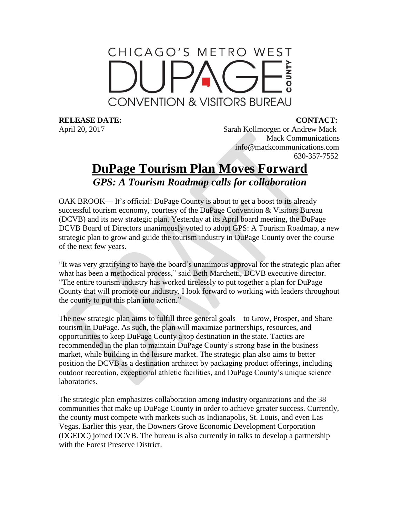## CHICAGO'S METRO WEST **CONVENTION & VISITORS BUREAU**

**RELEASE DATE: CONTACT:**

April 20, 2017 Sarah Kollmorgen or Andrew Mack Mack Communications info@mackcommunications.com 630-357-7552

## **DuPage Tourism Plan Moves Forward** *GPS: A Tourism Roadmap calls for collaboration*

OAK BROOK— It's official: DuPage County is about to get a boost to its already successful tourism economy, courtesy of the DuPage Convention & Visitors Bureau (DCVB) and its new strategic plan. Yesterday at its April board meeting, the DuPage DCVB Board of Directors unanimously voted to adopt GPS: A Tourism Roadmap, a new strategic plan to grow and guide the tourism industry in DuPage County over the course of the next few years.

"It was very gratifying to have the board's unanimous approval for the strategic plan after what has been a methodical process," said Beth Marchetti, DCVB executive director. "The entire tourism industry has worked tirelessly to put together a plan for DuPage County that will promote our industry. I look forward to working with leaders throughout the county to put this plan into action."

The new strategic plan aims to fulfill three general goals—to Grow, Prosper, and Share tourism in DuPage. As such, the plan will maximize partnerships, resources, and opportunities to keep DuPage County a top destination in the state. Tactics are recommended in the plan to maintain DuPage County's strong base in the business market, while building in the leisure market. The strategic plan also aims to better position the DCVB as a destination architect by packaging product offerings, including outdoor recreation, exceptional athletic facilities, and DuPage County's unique science laboratories.

The strategic plan emphasizes collaboration among industry organizations and the 38 communities that make up DuPage County in order to achieve greater success. Currently, the county must compete with markets such as Indianapolis, St. Louis, and even Las Vegas. Earlier this year, the Downers Grove Economic Development Corporation (DGEDC) joined DCVB. The bureau is also currently in talks to develop a partnership with the Forest Preserve District.